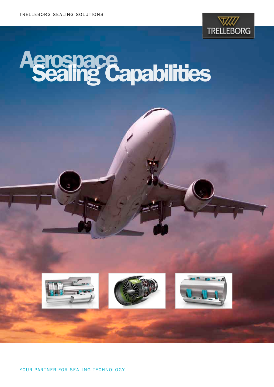

## **Aerospace<br>Sealing Capabilities**

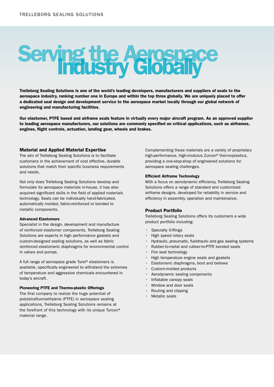# Serving the Aerospace

Trelleborg Sealing Solutions is one of the world's leading developers, manufacturers and suppliers of seals to the aerospace industry, ranking number one in Europe and within the top three globally. We are uniquely placed to offer a dedicated seal design and development service to the aerospace market locally through our global network of engineering and manufacturing facilities.

Our elastomer, PTFE based and airframe seals feature in virtually every major aircraft program. As an approved supplier to leading aerospace manufacturers, our solutions are commonly specified on critical applications, such as airframes, engines, flight controls, actuation, landing gear, wheels and brakes.

#### Material and Applied Material Expertise

The aim of Trelleborg Sealing Solutions is to facilitate customers in the achievement of cost effective, durable solutions that match their specific business requirements and needs.

Not only does Trelleborg Sealing Solutions develop and formulate its aerospace materials in-house, it has also acquired significant skills in the field of applied materials technology. Seals can be individually hand-fabricated, automatically molded, fabric-reinforced or bonded to metallic components.

#### Advanced Elastomers

Specialist in the design, development and manufacture of reinforced elastomer components, Trelleborg Sealing Solutions are experts in high performance gaskets and custom-designed sealing solutions, as well as fabric reinforced elastomeric diaphragms for environmental control in valves and pumps.

A full range of aerospace grade Turel® elastomers is available, specifically engineered to withstand the extremes of temperature and aggressive chemicals encountered in today's aircraft.

#### Pioneering PTFE and Thermo-plastic Offerings

The first company to realize the huge potential of polytetrafluoroethylene (PTFE) in aerospace sealing applications, Trelleborg Sealing Solutions remains at the forefront of this technology with its unique Turcon® material range.

Complementing these materials are a variety of proprietary high-performance, high-modulus Zurcon® thermoplastics, providing a one-stop-shop of engineered solutions for aerospace sealing challenges.

#### Efficient Airframe Technology

With a focus on aerodynamic efficiency, Trelleborg Sealing Solutions offers a range of standard and customized airframe designs, developed for reliability in service and efficiency in assembly, operation and maintenance.

#### Product Portfolio

Trelleborg Sealing Solutions offers its customers a wide product portfolio including:

- Specialty O-Rings
- High speed rotary seals
- Hydraulic, pneumatic, fueldraulic and gas sealing systems
- Rubber-to-metal and rubber-to-PTFE bonded seals
- Fire seal technology
- High temperature engine seals and gaskets
- Elastomeric diaphragms, boot and bellows
- Custom-molded products
- Aerodynamic sealing components
- Inflatable canopy seals
- Window and door seals
- Routing and clipping
- Metallic seals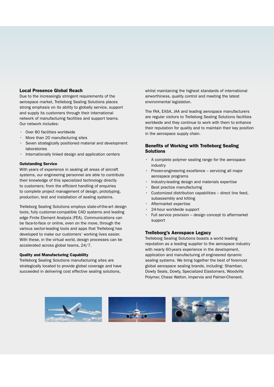#### Local Presence Global Reach

Due to the increasingly stringent requirements of the aerospace market, Trelleborg Sealing Solutions places strong emphasis on its ability to globally service, support and supply its customers through their international network of manufacturing facilities and support teams. Our network includes:

- Over 80 facilities worldwide
- More than 20 manufacturing sites
- Seven strategically positioned material and development laboratories
- Internationally linked design and application centers

#### Outstanding Service

With years of experience in sealing all areas of aircraft systems, our engineering personnel are able to contribute their knowledge of this specialized technology directly to customers; from the efficient handling of enquiries to complete project management of design, prototyping, production, test and installation of sealing systems.

Trelleborg Sealing Solutions employs state-of-the-art design tools, fully customer-compatible CAD systems and leading edge Finite Element Analysis (FEA). Communications can be face-to-face or online, even on the move, through the various sector-leading tools and apps that Trelleborg has developed to make our customers' working lives easier. With these, in the virtual world, design processes can be accelerated across global teams, 24/7.

#### Quality and Manufacturing Capability

Trelleborg Sealing Solutions manufacturing sites are strategically located to provide global coverage and have succeeded in delivering cost effective sealing solutions,

whilst maintaining the highest standards of international airworthiness, quality control and meeting the latest environmental legislation.

The FAA, EASA, JAA and leading aerospace manufacturers are regular visitors to Trelleborg Sealing Solutions facilities worldwide and they continue to work with them to enhance their reputation for quality and to maintain their key position in the aerospace supply chain.

#### Benefits of Working with Trelleborg Sealing Solutions

- A complete polymer sealing range for the aerospace industry
- Proven-engineering excellence servicing all major aerospace programs
- Industry-leading design and materials expertise
- Best practice manufacturing
- Customized distribution capabilities direct line feed, subassembly and kitting
- Aftermarket expertise
- 24-hour worldwide support
- Full service provision design concept to aftermarket support

#### Trelleborg's Aerospace Legacy

Trelleborg Sealing Solutions boasts a world leading reputation as a leading supplier to the aerospace industry with nearly 60-years experience in the development, application and manufacturing of engineered dynamic sealing systems. We bring together the best of foremost global aerospace sealing brands, including: Shamban, Dowty Seals, Dowty, Specialized Elastomers, Woodville Polymer, Chase Walton, Impervia and Palmer-Chenard.

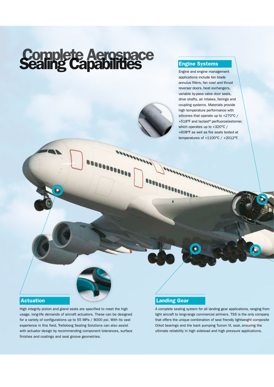### Complete Aerospace<br>Sealing Capabilities

Engine and engine management applications include fan blade annulus fillers, fan cowl and thrust reverser doors, heat exchangers, variable by-pass valve door seals, drive shafts, air intakes, fairings and coupling systems. Materials provide high temperature performance with silicones that operate up to +270°C / +518°F and Isolast® perfluoroelastomer, which operates up to +320°C / +608°F as well as fire seals tested at temperatures of +1100°C / +2012°F.

### Actuation

High integrity piston and gland seals are specified to meet the high usage, long-life demands of aircraft actuators. These can be designed for a variety of configurations up to 55 MPa / 8000 psi. With its vast experience in this field, Trelleborg Sealing Solutions can also assist with actuator design by recommending component tolerances, surface finishes and coatings and seal groove geometries.

#### Landing Gear

A complete sealing system for all landing gear applications, ranging from light aircraft to long-range commercial airliners. TSS is the only company that offers the unique combination of seal friendly lightweight composite Orkot bearings and the back pumping Turcon VL seal, ensuring the ultimate reliability in high sideload and high pressure applications.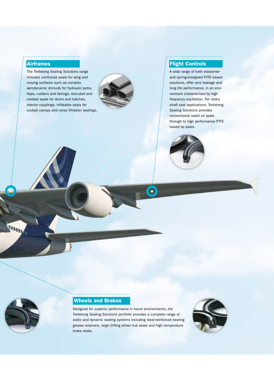#### Airframes

The Trelleborg Sealing Solutions range includes reinforced seals for wing and moving surfaces such as complex aerodynamic shrouds for hydraulic jacks, flaps, rudders and fairings; extruded and molded seals for doors and hatches, interior couplings; inflatable seals for cockpit canopy and noise filtration sealings.



#### Flight Controls

A wide range of both elastomer and spring-energized PTFE based solutions, offer zero leakage and long life performance, in an environment characterized by high frequency oscillation. For rotary shaft seal applications, Trelleborg Sealing Solutions provides conventional radial oil seals through to high performance PTFE based lip seals.



 $\bullet$ 



4

#### Wheels and Brakes

Designed for superior performance in harsh environments, the Trelleborg Sealing Solutions portfolio provides a complete range of static and dynamic sealing systems including steel-reinforced bearing grease retainers, large O-Ring wheel hub seals and high temperature brake seals.